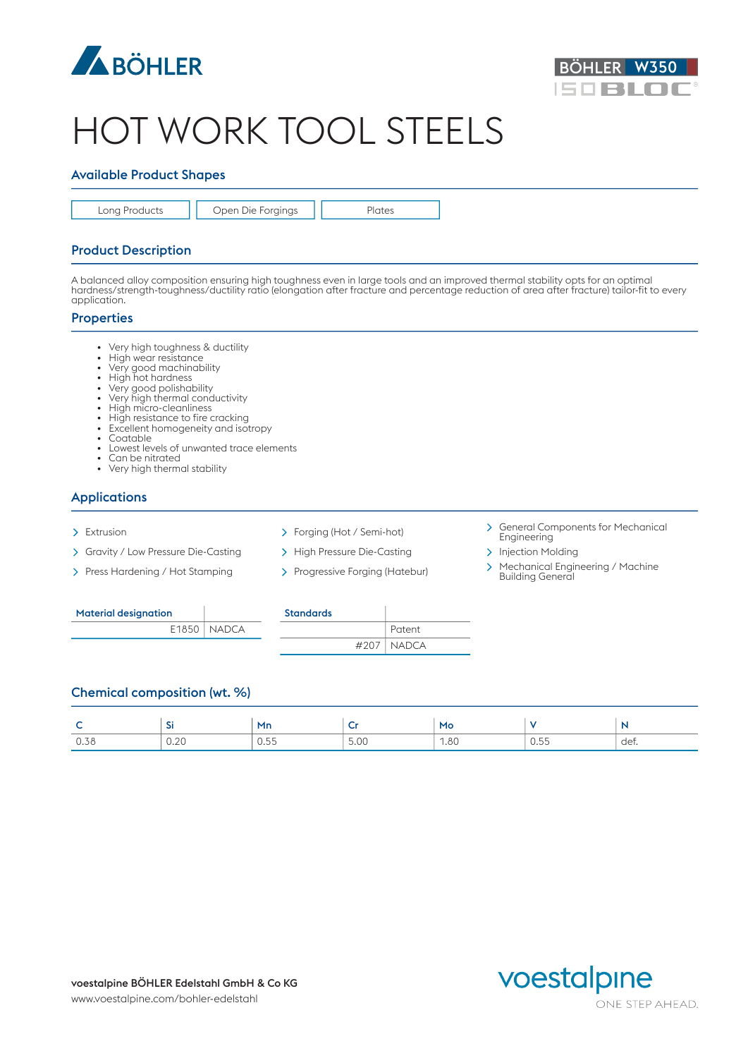



# HOT WORK TOOL STEELS

### Available Product Shapes

Long Products | | Open Die Forgings | | Plates

#### Product Description

A balanced alloy composition ensuring high toughness even in large tools and an improved thermal stability opts for an optimal hardness/strength-toughness/ductility ratio (elongation after fracture and percentage reduction of area after fracture) tailor-fit to every application.

#### **Properties**

- Very high toughness & ductility
- High wear resistance
- Very good machinability
- High hot hardness
- Very good polishability
- Very high thermal conductivity • High micro-cleanliness
- High resistance to fire cracking
- Excellent homogeneity and isotropy<br>• Contable
- Coatable **but a community of the contract of the contract of the contract of the contract of the contract of the contract of the contract of the contract of the contract of the contract of the contract of the contract of**
- Lowest levels of unwanted trace elements
- Can be nitrated • Very high thermal stability

# Applications

- 
- > Gravity / Low Pressure Die-Casting > High Pressure Die-Casting > Injection Molding
- 
- 
- 
- 
- > Extrusion > Forging (Hot / Semi-hot) > General Components for Mechanical Engineering
	-
- Press Hardening / Hot Stamping > Progressive Forging (Hatebur) > Mechanical Engineering / Machine Building General

| <b>Material designation</b> |                 | <b>Standards</b> |
|-----------------------------|-----------------|------------------|
|                             | $E1850$   NADCA |                  |

| <b>Standards</b> |                |
|------------------|----------------|
|                  | Patent         |
|                  | $#207$   NADCA |

#### Chemical composition (wt. %)

|      | $\sim$<br>-31 | Mn                      |                      | Mo   |           |      |
|------|---------------|-------------------------|----------------------|------|-----------|------|
| 0.38 | 0.00<br>∪.∠∪  | $ -$<br>$\cup$ . $\cup$ | $\Gamma$ 0.6<br>ວ.ບບ | 1.80 | .<br>0.00 | det. |

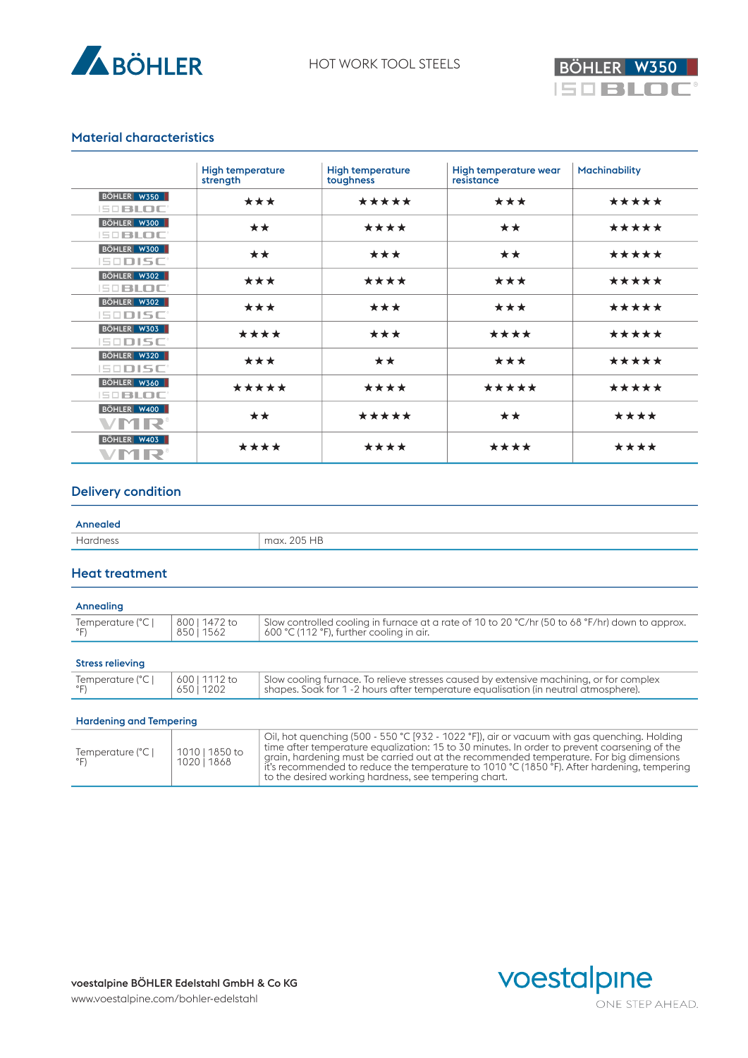



### Material characteristics

|                                   | <b>High temperature</b><br>strength | <b>High temperature</b><br>toughness | High temperature wear<br>resistance | <b>Machinability</b> |
|-----------------------------------|-------------------------------------|--------------------------------------|-------------------------------------|----------------------|
| BÖHLER W350<br><b>ISOBLOC</b>     | ***                                 | *****                                | ***                                 | *****                |
| BÖHLER W300<br>$B = B$ <b>DOC</b> | **                                  | ****                                 | **                                  | *****                |
| BÖHLER W300<br><b>ISODISC'</b>    | **                                  | ***                                  | **                                  | *****                |
| BÖHLER W302<br>$B = B$ <b>DOC</b> | ***                                 | ****                                 | ***                                 | *****                |
| BÖHLER W302<br><b>ISODISC'</b>    | ***                                 | ***                                  | ***                                 | *****                |
| BÖHLER W303<br><b>ISODISC'</b>    | ****                                | ***                                  | ****                                | *****                |
| BÖHLER W320<br><b>ISODISC'</b>    | ***                                 | **                                   | ***                                 | *****                |
| BÖHLER W360<br>$B = B$ <b>DOC</b> | *****                               | ****                                 | *****                               | *****                |
| BÖHLER W400<br><b>VMR®</b>        | **                                  | *****                                | **                                  | ****                 |
| BÖHLER W403<br>VMR®               | ****                                | ****                                 | ****                                | ****                 |

### Delivery condition

| Annealed |             |
|----------|-------------|
| Hardness | max. 205 HB |

#### Heat treatment

| Annealing                         |                           |                                                                                                                                                                                |
|-----------------------------------|---------------------------|--------------------------------------------------------------------------------------------------------------------------------------------------------------------------------|
| Temperature (°C  <br>$\degree$ F) | 800   1472 to<br>85011562 | Slow controlled cooling in furnace at a rate of 10 to 20 °C/hr (50 to 68 °F/hr) down to approx.<br>600 °C (112 °F), further cooling in air.                                    |
|                                   |                           |                                                                                                                                                                                |
| <b>Stress relieving</b>           |                           |                                                                                                                                                                                |
| Temperature (°C  <br>$\degree$ F) | 600   1112 to<br>65011202 | Slow cooling furnace. To relieve stresses caused by extensive machining, or for complex<br>shapes. Soak for 1 -2 hours after temperature equalisation (in neutral atmosphere). |
|                                   |                           |                                                                                                                                                                                |
| <b>Hardening and Tempering</b>    |                           |                                                                                                                                                                                |

#### Temperature (°C |  $\degree$ F) 1010 | 1850 to and a bardoning must be carried out as 1020 | 1868 | giulii, nuiuening must be currieu o Oil, hot quenching (500 - 550 °C [932 - 1022 °F]), air or vacuum with gas quenching. Holding time after temperature equalization: 15 to 30 minutes. In order to prevent coarsening of the grain, hardening must be carried out at the recommended temperature. For big dimensions it's recommended to reduce the temperature to 1010 °C (1850 °F). After hardening, tempering to the desired working hardness, see tempering chart.